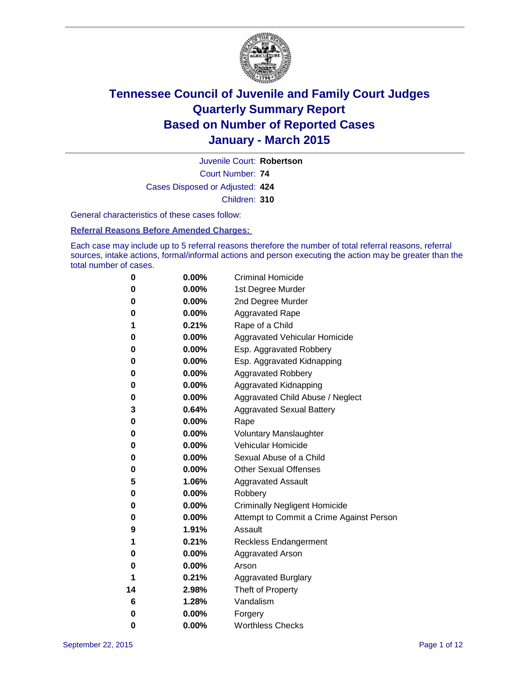

Court Number: **74** Juvenile Court: **Robertson** Cases Disposed or Adjusted: **424** Children: **310**

General characteristics of these cases follow:

#### **Referral Reasons Before Amended Charges:**

Each case may include up to 5 referral reasons therefore the number of total referral reasons, referral sources, intake actions, formal/informal actions and person executing the action may be greater than the total number of cases.

| 0  | $0.00\%$ | <b>Criminal Homicide</b>                 |
|----|----------|------------------------------------------|
| 0  | 0.00%    | 1st Degree Murder                        |
| 0  | 0.00%    | 2nd Degree Murder                        |
| 0  | $0.00\%$ | <b>Aggravated Rape</b>                   |
| 1  | 0.21%    | Rape of a Child                          |
| 0  | 0.00%    | Aggravated Vehicular Homicide            |
| 0  | 0.00%    | Esp. Aggravated Robbery                  |
| 0  | $0.00\%$ | Esp. Aggravated Kidnapping               |
| 0  | 0.00%    | <b>Aggravated Robbery</b>                |
| 0  | 0.00%    | <b>Aggravated Kidnapping</b>             |
| 0  | 0.00%    | Aggravated Child Abuse / Neglect         |
| 3  | 0.64%    | <b>Aggravated Sexual Battery</b>         |
| 0  | 0.00%    | Rape                                     |
| 0  | $0.00\%$ | <b>Voluntary Manslaughter</b>            |
| 0  | 0.00%    | <b>Vehicular Homicide</b>                |
| 0  | 0.00%    | Sexual Abuse of a Child                  |
| 0  | 0.00%    | <b>Other Sexual Offenses</b>             |
| 5  | 1.06%    | <b>Aggravated Assault</b>                |
| 0  | 0.00%    | Robbery                                  |
| 0  | 0.00%    | <b>Criminally Negligent Homicide</b>     |
| 0  | $0.00\%$ | Attempt to Commit a Crime Against Person |
| 9  | 1.91%    | Assault                                  |
| 1  | 0.21%    | <b>Reckless Endangerment</b>             |
| 0  | $0.00\%$ | <b>Aggravated Arson</b>                  |
| 0  | 0.00%    | Arson                                    |
| 1  | 0.21%    | <b>Aggravated Burglary</b>               |
| 14 | 2.98%    | Theft of Property                        |
| 6  | 1.28%    | Vandalism                                |
| 0  | 0.00%    | Forgery                                  |
| 0  | 0.00%    | <b>Worthless Checks</b>                  |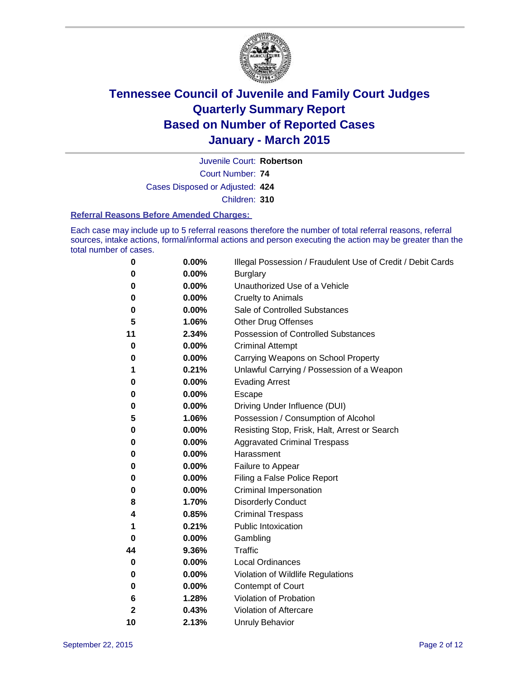

Court Number: **74** Juvenile Court: **Robertson** Cases Disposed or Adjusted: **424** Children: **310**

#### **Referral Reasons Before Amended Charges:**

Each case may include up to 5 referral reasons therefore the number of total referral reasons, referral sources, intake actions, formal/informal actions and person executing the action may be greater than the total number of cases.

| 0  | $0.00\%$ | Illegal Possession / Fraudulent Use of Credit / Debit Cards |
|----|----------|-------------------------------------------------------------|
| 0  | 0.00%    | <b>Burglary</b>                                             |
| 0  | 0.00%    | Unauthorized Use of a Vehicle                               |
| 0  | 0.00%    | <b>Cruelty to Animals</b>                                   |
| 0  | 0.00%    | Sale of Controlled Substances                               |
| 5  | 1.06%    | <b>Other Drug Offenses</b>                                  |
| 11 | 2.34%    | Possession of Controlled Substances                         |
| 0  | 0.00%    | <b>Criminal Attempt</b>                                     |
| 0  | 0.00%    | Carrying Weapons on School Property                         |
| 1  | 0.21%    | Unlawful Carrying / Possession of a Weapon                  |
| 0  | 0.00%    | <b>Evading Arrest</b>                                       |
| 0  | 0.00%    | Escape                                                      |
| 0  | 0.00%    | Driving Under Influence (DUI)                               |
| 5  | 1.06%    | Possession / Consumption of Alcohol                         |
| 0  | 0.00%    | Resisting Stop, Frisk, Halt, Arrest or Search               |
| 0  | 0.00%    | <b>Aggravated Criminal Trespass</b>                         |
| 0  | 0.00%    | Harassment                                                  |
| 0  | 0.00%    | Failure to Appear                                           |
| 0  | 0.00%    | Filing a False Police Report                                |
| 0  | 0.00%    | Criminal Impersonation                                      |
| 8  | 1.70%    | <b>Disorderly Conduct</b>                                   |
| 4  | 0.85%    | <b>Criminal Trespass</b>                                    |
| 1  | 0.21%    | <b>Public Intoxication</b>                                  |
| 0  | 0.00%    | Gambling                                                    |
| 44 | 9.36%    | <b>Traffic</b>                                              |
| 0  | 0.00%    | <b>Local Ordinances</b>                                     |
| 0  | 0.00%    | Violation of Wildlife Regulations                           |
| 0  | 0.00%    | Contempt of Court                                           |
| 6  | 1.28%    | Violation of Probation                                      |
| 2  | 0.43%    | Violation of Aftercare                                      |
| 10 | 2.13%    | <b>Unruly Behavior</b>                                      |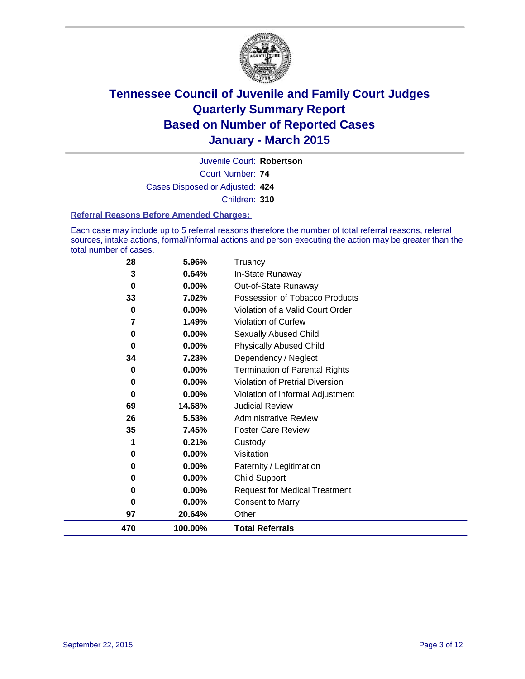

Court Number: **74** Juvenile Court: **Robertson** Cases Disposed or Adjusted: **424** Children: **310**

#### **Referral Reasons Before Amended Charges:**

Each case may include up to 5 referral reasons therefore the number of total referral reasons, referral sources, intake actions, formal/informal actions and person executing the action may be greater than the total number of cases.

| 28  | 5.96%    | Truancy                                |
|-----|----------|----------------------------------------|
| 3   | 0.64%    | In-State Runaway                       |
| 0   | 0.00%    | Out-of-State Runaway                   |
| 33  | 7.02%    | Possession of Tobacco Products         |
| 0   | 0.00%    | Violation of a Valid Court Order       |
| 7   | 1.49%    | <b>Violation of Curfew</b>             |
| 0   | $0.00\%$ | Sexually Abused Child                  |
| 0   | 0.00%    | <b>Physically Abused Child</b>         |
| 34  | 7.23%    | Dependency / Neglect                   |
| 0   | 0.00%    | <b>Termination of Parental Rights</b>  |
| 0   | $0.00\%$ | <b>Violation of Pretrial Diversion</b> |
| 0   | 0.00%    | Violation of Informal Adjustment       |
| 69  | 14.68%   | <b>Judicial Review</b>                 |
| 26  | 5.53%    | <b>Administrative Review</b>           |
| 35  | 7.45%    | <b>Foster Care Review</b>              |
| 1   | 0.21%    | Custody                                |
| 0   | 0.00%    | Visitation                             |
| 0   | 0.00%    | Paternity / Legitimation               |
| 0   | 0.00%    | <b>Child Support</b>                   |
| 0   | 0.00%    | <b>Request for Medical Treatment</b>   |
| 0   | 0.00%    | <b>Consent to Marry</b>                |
| 97  | 20.64%   | Other                                  |
| 470 | 100.00%  | <b>Total Referrals</b>                 |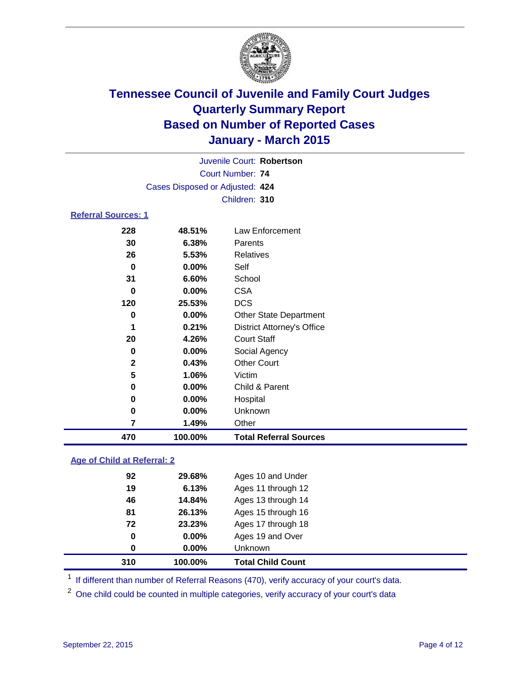

| Juvenile Court: Robertson       |  |
|---------------------------------|--|
| Court Number: 74                |  |
| Cases Disposed or Adjusted: 424 |  |
| Children: 310                   |  |

#### **Referral Sources: 1**

| 470          | 100.00%  | <b>Total Referral Sources</b>     |
|--------------|----------|-----------------------------------|
| 7            | 1.49%    | Other                             |
| 0            | $0.00\%$ | Unknown                           |
| 0            | $0.00\%$ | Hospital                          |
| 0            | $0.00\%$ | Child & Parent                    |
| 5            | 1.06%    | Victim                            |
| $\mathbf{2}$ | 0.43%    | <b>Other Court</b>                |
| 0            | $0.00\%$ | Social Agency                     |
| 20           | 4.26%    | <b>Court Staff</b>                |
| 1            | 0.21%    | <b>District Attorney's Office</b> |
| 0            | $0.00\%$ | <b>Other State Department</b>     |
| 120          | 25.53%   | <b>DCS</b>                        |
| 0            | $0.00\%$ | <b>CSA</b>                        |
| 31           | 6.60%    | School                            |
| 0            | $0.00\%$ | Self                              |
| 26           | 5.53%    | Relatives                         |
| 30           | 6.38%    | Parents                           |
| 228          | 48.51%   | Law Enforcement                   |

#### **Age of Child at Referral: 2**

| 310 | 100.00%  | <b>Total Child Count</b> |
|-----|----------|--------------------------|
| 0   | $0.00\%$ | <b>Unknown</b>           |
| 0   | $0.00\%$ | Ages 19 and Over         |
| 72  | 23.23%   | Ages 17 through 18       |
| 81  | 26.13%   | Ages 15 through 16       |
| 46  | 14.84%   | Ages 13 through 14       |
| 19  | 6.13%    | Ages 11 through 12       |
| 92  | 29.68%   | Ages 10 and Under        |

<sup>1</sup> If different than number of Referral Reasons (470), verify accuracy of your court's data.

One child could be counted in multiple categories, verify accuracy of your court's data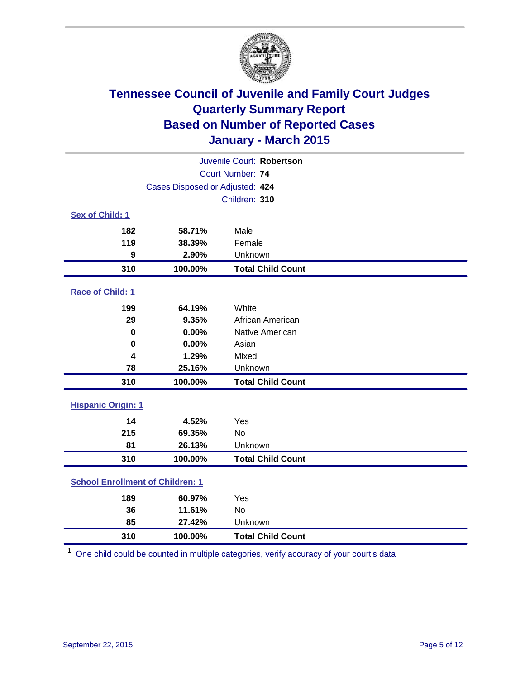

| Juvenile Court: Robertson               |                                 |                          |  |  |  |
|-----------------------------------------|---------------------------------|--------------------------|--|--|--|
|                                         | Court Number: 74                |                          |  |  |  |
|                                         | Cases Disposed or Adjusted: 424 |                          |  |  |  |
|                                         |                                 | Children: 310            |  |  |  |
| Sex of Child: 1                         |                                 |                          |  |  |  |
| 182                                     | 58.71%                          | Male                     |  |  |  |
| 119                                     | 38.39%                          | Female                   |  |  |  |
| 9                                       | 2.90%                           | Unknown                  |  |  |  |
| 310                                     | 100.00%                         | <b>Total Child Count</b> |  |  |  |
| Race of Child: 1                        |                                 |                          |  |  |  |
| 199                                     | 64.19%                          | White                    |  |  |  |
| 29                                      | 9.35%                           | African American         |  |  |  |
| $\bf{0}$                                | 0.00%                           | Native American          |  |  |  |
| 0                                       | 0.00%                           | Asian                    |  |  |  |
| 4                                       | 1.29%                           | Mixed                    |  |  |  |
| 78                                      | 25.16%                          | Unknown                  |  |  |  |
| 310                                     | 100.00%                         | <b>Total Child Count</b> |  |  |  |
| <b>Hispanic Origin: 1</b>               |                                 |                          |  |  |  |
| 14                                      | 4.52%                           | Yes                      |  |  |  |
| 215                                     | 69.35%                          | No                       |  |  |  |
| 81                                      | 26.13%                          | Unknown                  |  |  |  |
| 310                                     | 100.00%                         | <b>Total Child Count</b> |  |  |  |
| <b>School Enrollment of Children: 1</b> |                                 |                          |  |  |  |
| 189                                     | 60.97%                          | Yes                      |  |  |  |
| 36                                      | 11.61%                          | No                       |  |  |  |
| 85                                      | 27.42%                          | Unknown                  |  |  |  |
| 310                                     | 100.00%                         | <b>Total Child Count</b> |  |  |  |

One child could be counted in multiple categories, verify accuracy of your court's data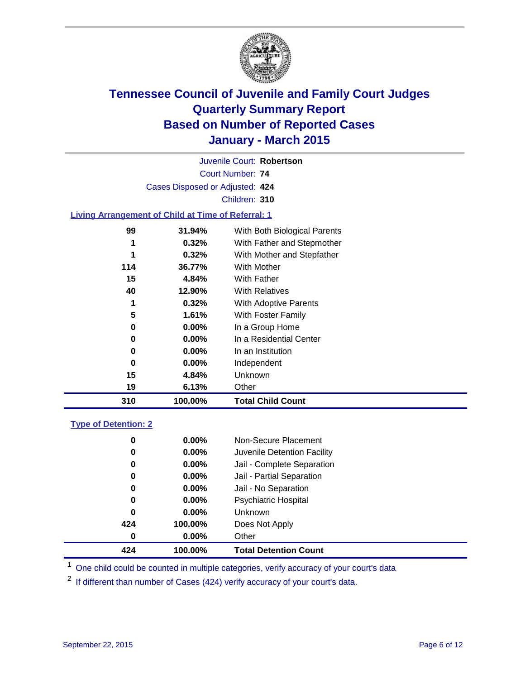

Court Number: **74** Juvenile Court: **Robertson** Cases Disposed or Adjusted: **424** Children: **310 Living Arrangement of Child at Time of Referral: 1**

| 310 | 100.00%  | <b>Total Child Count</b>     |
|-----|----------|------------------------------|
| 19  | 6.13%    | Other                        |
| 15  | 4.84%    | Unknown                      |
| 0   | 0.00%    | Independent                  |
| 0   | $0.00\%$ | In an Institution            |
| 0   | $0.00\%$ | In a Residential Center      |
| 0   | 0.00%    | In a Group Home              |
| 5   | 1.61%    | With Foster Family           |
| 1   | 0.32%    | With Adoptive Parents        |
| 40  | 12.90%   | <b>With Relatives</b>        |
| 15  | 4.84%    | With Father                  |
| 114 | 36.77%   | <b>With Mother</b>           |
| 1   | 0.32%    | With Mother and Stepfather   |
| 1   | 0.32%    | With Father and Stepmother   |
| 99  | 31.94%   | With Both Biological Parents |

#### **Type of Detention: 2**

| 424 | 100.00%  | <b>Total Detention Count</b> |
|-----|----------|------------------------------|
| 0   | $0.00\%$ | Other                        |
| 424 | 100.00%  | Does Not Apply               |
| 0   | $0.00\%$ | <b>Unknown</b>               |
| 0   | $0.00\%$ | <b>Psychiatric Hospital</b>  |
| 0   | 0.00%    | Jail - No Separation         |
| 0   | 0.00%    | Jail - Partial Separation    |
| 0   | $0.00\%$ | Jail - Complete Separation   |
| 0   | $0.00\%$ | Juvenile Detention Facility  |
| 0   | $0.00\%$ | Non-Secure Placement         |

<sup>1</sup> One child could be counted in multiple categories, verify accuracy of your court's data

If different than number of Cases (424) verify accuracy of your court's data.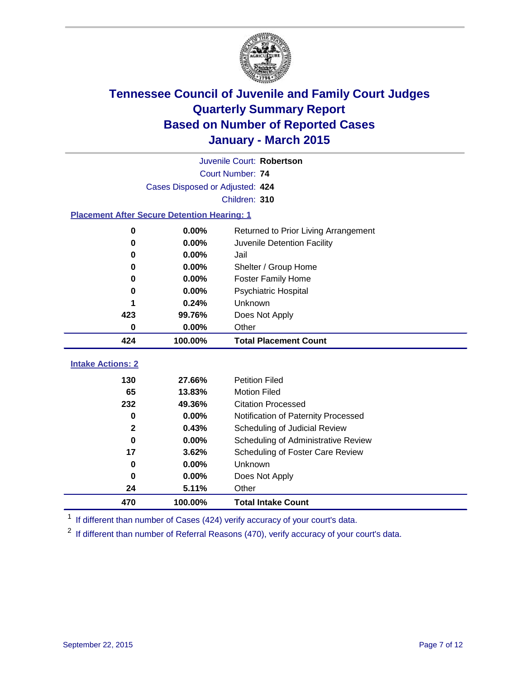

|                                                    | Juvenile Court: Robertson       |                                      |  |  |  |
|----------------------------------------------------|---------------------------------|--------------------------------------|--|--|--|
|                                                    | Court Number: 74                |                                      |  |  |  |
|                                                    | Cases Disposed or Adjusted: 424 |                                      |  |  |  |
|                                                    |                                 | Children: 310                        |  |  |  |
| <b>Placement After Secure Detention Hearing: 1</b> |                                 |                                      |  |  |  |
| 0                                                  | 0.00%                           | Returned to Prior Living Arrangement |  |  |  |
| 0                                                  | 0.00%                           | Juvenile Detention Facility          |  |  |  |
| 0                                                  | 0.00%                           | Jail                                 |  |  |  |
| 0                                                  | 0.00%                           | Shelter / Group Home                 |  |  |  |
| 0                                                  | 0.00%                           | <b>Foster Family Home</b>            |  |  |  |
| 0                                                  | 0.00%                           | <b>Psychiatric Hospital</b>          |  |  |  |
|                                                    | 0.24%                           | Unknown                              |  |  |  |
| 423                                                | 99.76%                          | Does Not Apply                       |  |  |  |
| $\bf{0}$                                           | 0.00%                           | Other                                |  |  |  |
| 424                                                | 100.00%                         | <b>Total Placement Count</b>         |  |  |  |
| <b>Intake Actions: 2</b>                           |                                 |                                      |  |  |  |
|                                                    |                                 |                                      |  |  |  |
| 130                                                | 27.66%                          | <b>Petition Filed</b>                |  |  |  |
| 65                                                 | 13.83%                          | <b>Motion Filed</b>                  |  |  |  |
| 232                                                | 49.36%                          | <b>Citation Processed</b>            |  |  |  |
| 0                                                  | 0.00%                           | Notification of Paternity Processed  |  |  |  |
| $\mathbf{2}$                                       | 0.43%                           | Scheduling of Judicial Review        |  |  |  |
| $\bf{0}$                                           | 0.00%                           | Scheduling of Administrative Review  |  |  |  |
| 17                                                 | 3.62%                           | Scheduling of Foster Care Review     |  |  |  |
| 0                                                  | 0.00%                           | Unknown                              |  |  |  |
| 0                                                  | 0.00%                           | Does Not Apply                       |  |  |  |
| 24                                                 | 5.11%                           | Other                                |  |  |  |
| 470                                                | 100.00%                         | <b>Total Intake Count</b>            |  |  |  |

<sup>1</sup> If different than number of Cases (424) verify accuracy of your court's data.

If different than number of Referral Reasons (470), verify accuracy of your court's data.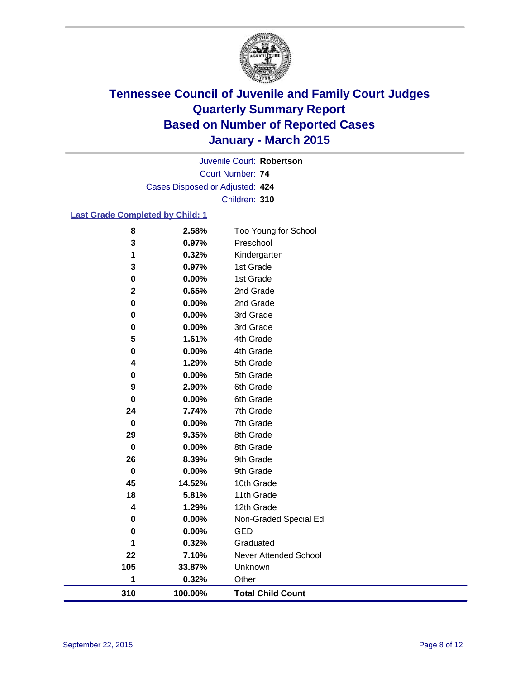

Court Number: **74** Juvenile Court: **Robertson** Cases Disposed or Adjusted: **424** Children: **310**

#### **Last Grade Completed by Child: 1**

| 8                       | 2.58%   | Too Young for School     |
|-------------------------|---------|--------------------------|
| 3                       | 0.97%   | Preschool                |
| 1                       | 0.32%   | Kindergarten             |
| 3                       | 0.97%   | 1st Grade                |
| $\pmb{0}$               | 0.00%   | 1st Grade                |
| $\mathbf{2}$            | 0.65%   | 2nd Grade                |
| $\bf{0}$                | 0.00%   | 2nd Grade                |
| 0                       | 0.00%   | 3rd Grade                |
| $\pmb{0}$               | 0.00%   | 3rd Grade                |
| $5\phantom{.0}$         | 1.61%   | 4th Grade                |
| $\bf{0}$                | 0.00%   | 4th Grade                |
| $\overline{\mathbf{4}}$ | 1.29%   | 5th Grade                |
| $\pmb{0}$               | 0.00%   | 5th Grade                |
| 9                       | 2.90%   | 6th Grade                |
| $\pmb{0}$               | 0.00%   | 6th Grade                |
| 24                      | 7.74%   | 7th Grade                |
| $\mathbf 0$             | 0.00%   | 7th Grade                |
| 29                      | 9.35%   | 8th Grade                |
| $\pmb{0}$               | 0.00%   | 8th Grade                |
| 26                      | 8.39%   | 9th Grade                |
| $\mathbf 0$             | 0.00%   | 9th Grade                |
| 45                      | 14.52%  | 10th Grade               |
| 18                      | 5.81%   | 11th Grade               |
| 4                       | 1.29%   | 12th Grade               |
| 0                       | 0.00%   | Non-Graded Special Ed    |
| 0                       | 0.00%   | <b>GED</b>               |
| 1                       | 0.32%   | Graduated                |
| 22                      | 7.10%   | Never Attended School    |
| 105                     | 33.87%  | Unknown                  |
| 1                       | 0.32%   | Other                    |
| 310                     | 100.00% | <b>Total Child Count</b> |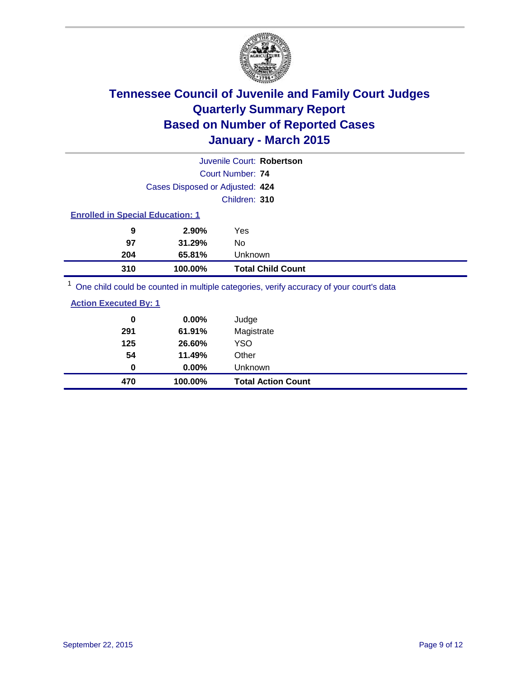

|                                                                                         |                                         | Juvenile Court: Robertson |  |  |  |
|-----------------------------------------------------------------------------------------|-----------------------------------------|---------------------------|--|--|--|
|                                                                                         |                                         | Court Number: 74          |  |  |  |
|                                                                                         | Cases Disposed or Adjusted: 424         |                           |  |  |  |
|                                                                                         |                                         | Children: 310             |  |  |  |
|                                                                                         | <b>Enrolled in Special Education: 1</b> |                           |  |  |  |
| 9                                                                                       | $2.90\%$                                | Yes                       |  |  |  |
| 97                                                                                      | 31.29%                                  | No.                       |  |  |  |
| 204                                                                                     | 65.81%                                  | Unknown                   |  |  |  |
| 310                                                                                     | 100.00%                                 | <b>Total Child Count</b>  |  |  |  |
| One child could be counted in multiple categories, verify accuracy of your court's data |                                         |                           |  |  |  |

| 470         | 100.00% | <b>Total Action Count</b> |
|-------------|---------|---------------------------|
| 0           | 0.00%   | Unknown                   |
| 54          | 11.49%  | Other                     |
| 125         | 26.60%  | <b>YSO</b>                |
| 291         | 61.91%  | Magistrate                |
| $\mathbf 0$ | 0.00%   | Judge                     |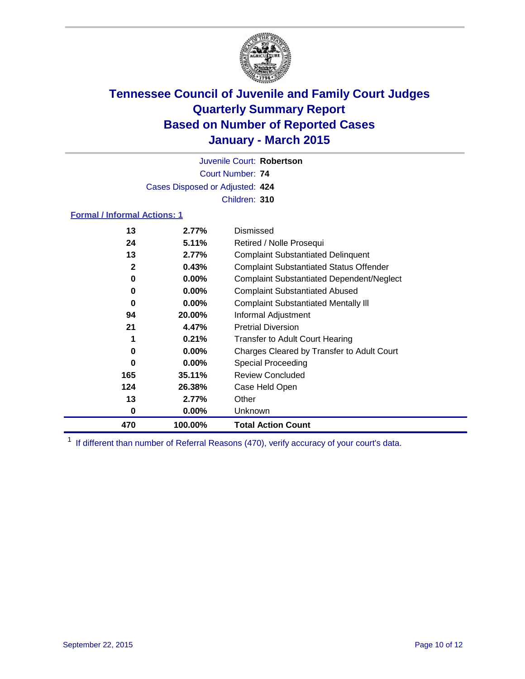

Court Number: **74** Juvenile Court: **Robertson** Cases Disposed or Adjusted: **424** Children: **310**

#### **Formal / Informal Actions: 1**

| 13           | 2.77%    | Dismissed                                        |
|--------------|----------|--------------------------------------------------|
| 24           | 5.11%    | Retired / Nolle Prosequi                         |
| 13           | 2.77%    | <b>Complaint Substantiated Delinquent</b>        |
| $\mathbf{2}$ | 0.43%    | <b>Complaint Substantiated Status Offender</b>   |
| 0            | $0.00\%$ | <b>Complaint Substantiated Dependent/Neglect</b> |
| 0            | $0.00\%$ | <b>Complaint Substantiated Abused</b>            |
| 0            | $0.00\%$ | <b>Complaint Substantiated Mentally III</b>      |
| 94           | 20.00%   | Informal Adjustment                              |
| 21           | 4.47%    | <b>Pretrial Diversion</b>                        |
| 1            | 0.21%    | <b>Transfer to Adult Court Hearing</b>           |
| 0            | $0.00\%$ | Charges Cleared by Transfer to Adult Court       |
| 0            | $0.00\%$ | Special Proceeding                               |
| 165          | 35.11%   | <b>Review Concluded</b>                          |
| 124          | 26.38%   | Case Held Open                                   |
| 13           | 2.77%    | Other                                            |
| 0            | $0.00\%$ | <b>Unknown</b>                                   |
| 470          | 100.00%  | <b>Total Action Count</b>                        |

<sup>1</sup> If different than number of Referral Reasons (470), verify accuracy of your court's data.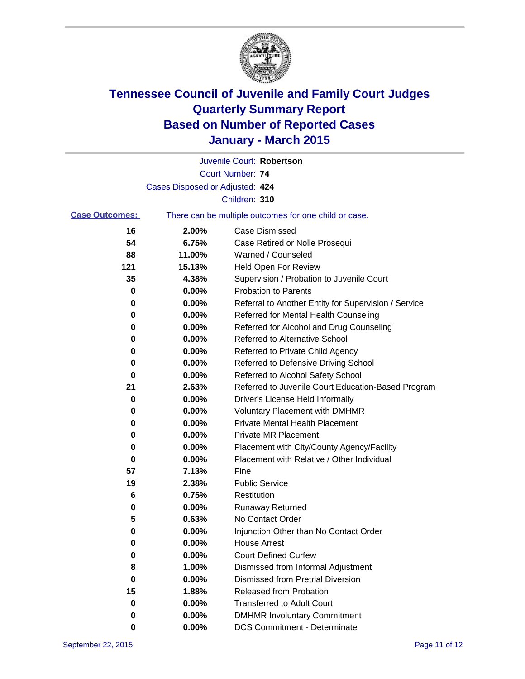

|                       |                                 | Juvenile Court: Robertson                             |
|-----------------------|---------------------------------|-------------------------------------------------------|
|                       |                                 | Court Number: 74                                      |
|                       | Cases Disposed or Adjusted: 424 |                                                       |
|                       |                                 | Children: 310                                         |
| <b>Case Outcomes:</b> |                                 | There can be multiple outcomes for one child or case. |
| 16                    | 2.00%                           | <b>Case Dismissed</b>                                 |
| 54                    | 6.75%                           | Case Retired or Nolle Prosequi                        |
| 88                    | 11.00%                          | Warned / Counseled                                    |
| 121                   | 15.13%                          | Held Open For Review                                  |
| 35                    | 4.38%                           | Supervision / Probation to Juvenile Court             |
| 0                     | 0.00%                           | <b>Probation to Parents</b>                           |
| 0                     | 0.00%                           | Referral to Another Entity for Supervision / Service  |
| 0                     | 0.00%                           | Referred for Mental Health Counseling                 |
| 0                     | 0.00%                           | Referred for Alcohol and Drug Counseling              |
| 0                     | 0.00%                           | <b>Referred to Alternative School</b>                 |
| 0                     | 0.00%                           | Referred to Private Child Agency                      |
| 0                     | 0.00%                           | Referred to Defensive Driving School                  |
| 0                     | 0.00%                           | Referred to Alcohol Safety School                     |
| 21                    | 2.63%                           | Referred to Juvenile Court Education-Based Program    |
| 0                     | 0.00%                           | Driver's License Held Informally                      |
| 0                     | 0.00%                           | <b>Voluntary Placement with DMHMR</b>                 |
| 0                     | 0.00%                           | <b>Private Mental Health Placement</b>                |
| 0                     | 0.00%                           | Private MR Placement                                  |
| 0                     | 0.00%                           | Placement with City/County Agency/Facility            |
| 0                     | 0.00%                           | Placement with Relative / Other Individual            |
| 57                    | 7.13%                           | Fine                                                  |
| 19                    | 2.38%                           | <b>Public Service</b>                                 |
| 6                     | 0.75%                           | Restitution                                           |
| 0                     | 0.00%                           | <b>Runaway Returned</b>                               |
| 5                     | 0.63%                           | No Contact Order                                      |
| 0                     | 0.00%                           | Injunction Other than No Contact Order                |
| 0                     | $0.00\%$                        | House Arrest                                          |
| 0                     | 0.00%                           | <b>Court Defined Curfew</b>                           |
| 8                     | 1.00%                           | Dismissed from Informal Adjustment                    |
| 0                     | 0.00%                           | <b>Dismissed from Pretrial Diversion</b>              |
| 15                    | 1.88%                           | Released from Probation                               |
| 0                     | 0.00%                           | <b>Transferred to Adult Court</b>                     |
| 0                     | 0.00%                           | <b>DMHMR Involuntary Commitment</b>                   |
| 0                     | $0.00\%$                        | <b>DCS Commitment - Determinate</b>                   |